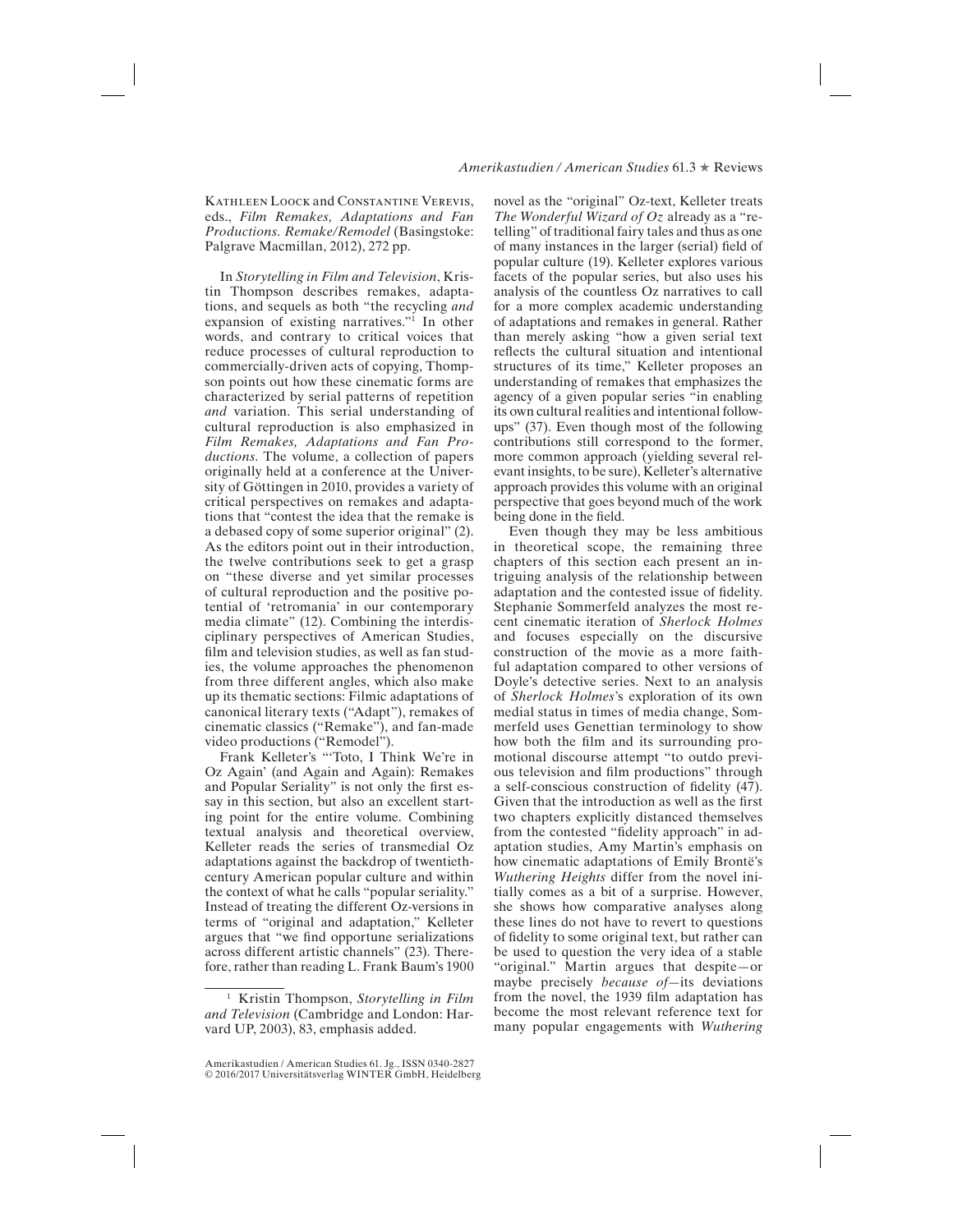## *Amerikastudien / American Studies* 61.3 ★ Reviews

Kathleen Loock and Constantine Verevis, eds., *Film Remakes, Adaptations and Fan Productions. Remake/Remodel* (Basingstoke: Palgrave Macmillan, 2012), 272 pp.

In *Storytelling in Film and Television*, Kristin Thompson describes remakes, adaptations, and sequels as both "the recycling *and* expansion of existing narratives."1 In other words, and contrary to critical voices that reduce processes of cultural reproduction to commercially-driven acts of copying, Thompson points out how these cinematic forms are characterized by serial patterns of repetition *and* variation. This serial understanding of cultural reproduction is also emphasized in *Film Remakes, Adaptations and Fan Productions*. The volume, a collection of papers originally held at a conference at the University of Göttingen in 2010, provides a variety of critical perspectives on remakes and adaptations that "contest the idea that the remake is a debased copy of some superior original" (2). As the editors point out in their introduction, the twelve contributions seek to get a grasp on "these diverse and yet similar processes of cultural reproduction and the positive potential of 'retromania' in our contemporary media climate" (12). Combining the interdisciplinary perspectives of American Studies, flm and television studies, as well as fan studies, the volume approaches the phenomenon from three different angles, which also make up its thematic sections: Filmic adaptations of canonical literary texts ("Adapt"), remakes of cinematic classics ("Remake"), and fan-made video productions ("Remodel").

Frank Kelleter's "'Toto, I Think We're in Oz Again' (and Again and Again): Remakes and Popular Seriality" is not only the frst essay in this section, but also an excellent starting point for the entire volume. Combining textual analysis and theoretical overview, Kelleter reads the series of transmedial Oz adaptations against the backdrop of twentiethcentury American popular culture and within the context of what he calls "popular seriality." Instead of treating the different Oz-versions in terms of "original and adaptation," Kelleter argues that "we fnd opportune serializations across different artistic channels" (23). Therefore, rather than reading L. Frank Baum's 1900

novel as the "original" Oz-text, Kelleter treats *The Wonderful Wizard of Oz* already as a "retelling" of traditional fairy tales and thus as one of many instances in the larger (serial) feld of popular culture (19). Kelleter explores various facets of the popular series, but also uses his analysis of the countless Oz narratives to call for a more complex academic understanding of adaptations and remakes in general. Rather than merely asking "how a given serial text refects the cultural situation and intentional structures of its time," Kelleter proposes an understanding of remakes that emphasizes the agency of a given popular series "in enabling its own cultural realities and intentional followups" (37). Even though most of the following contributions still correspond to the former, more common approach (yielding several relevant insights, to be sure), Kelleter's alternative approach provides this volume with an original perspective that goes beyond much of the work being done in the feld.

Even though they may be less ambitious in theoretical scope, the remaining three chapters of this section each present an intriguing analysis of the relationship between adaptation and the contested issue of fdelity. Stephanie Sommerfeld analyzes the most recent cinematic iteration of *Sherlock Holmes* and focuses especially on the discursive construction of the movie as a more faithful adaptation compared to other versions of Doyle's detective series. Next to an analysis of *Sherlock Holmes*'s exploration of its own medial status in times of media change, Sommerfeld uses Genettian terminology to show how both the flm and its surrounding promotional discourse attempt "to outdo previous television and flm productions" through a self-conscious construction of fdelity (47). Given that the introduction as well as the frst two chapters explicitly distanced themselves from the contested "fdelity approach" in adaptation studies, Amy Martin's emphasis on how cinematic adaptations of Emily Brontë's *Wuthering Heights* differ from the novel initially comes as a bit of a surprise. However, she shows how comparative analyses along these lines do not have to revert to questions of fdelity to some original text, but rather can be used to question the very idea of a stable "original." Martin argues that despite—or maybe precisely *because of*—its deviations from the novel, the 1939 flm adaptation has become the most relevant reference text for many popular engagements with *Wuthering* 

<sup>1</sup> Kristin Thompson, *Storytelling in Film and Television* (Cambridge and London: Harvard UP, 2003), 83, emphasis added.

Amerikastudien / American Studies 61. Jg., ISSN 0340-2827 © 2016/2017 Universitätsverlag WINTER GmbH, Heidelberg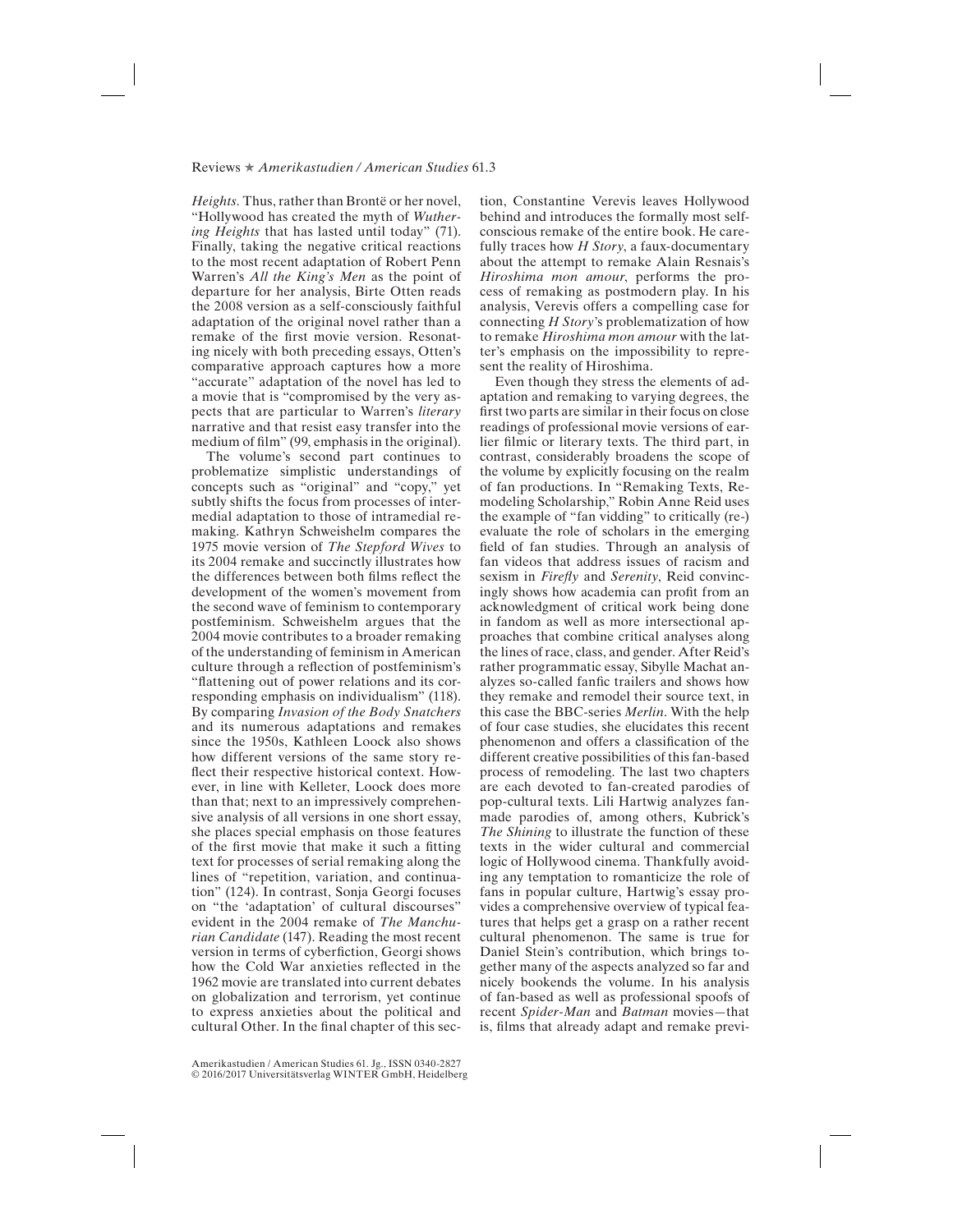## Reviews ★ *Amerikastudien / American Studies* 61.3

*Heights.* Thus, rather than Brontë or her novel, "Hollywood has created the myth of *Wuthering Heights* that has lasted until today" (71). Finally, taking the negative critical reactions to the most recent adaptation of Robert Penn Warren's *All the King's Men* as the point of departure for her analysis, Birte Otten reads the 2008 version as a self-consciously faithful adaptation of the original novel rather than a remake of the frst movie version. Resonating nicely with both preceding essays, Otten's comparative approach captures how a more "accurate" adaptation of the novel has led to a movie that is "compromised by the very aspects that are particular to Warren's *literary* narrative and that resist easy transfer into the medium of flm" (99, emphasis in the original).

The volume's second part continues to problematize simplistic understandings of concepts such as "original" and "copy," yet subtly shifts the focus from processes of intermedial adaptation to those of intramedial remaking. Kathryn Schweishelm compares the 1975 movie version of *The Stepford Wives* to its 2004 remake and succinctly illustrates how the differences between both flms refect the development of the women's movement from the second wave of feminism to contemporary postfeminism. Schweishelm argues that the 2004 movie contributes to a broader remaking of the understanding of feminism in American culture through a refection of postfeminism's "fattening out of power relations and its corresponding emphasis on individualism" (118). By comparing *Invasion of the Body Snatchers* and its numerous adaptations and remakes since the 1950s, Kathleen Loock also shows how different versions of the same story refect their respective historical context. However, in line with Kelleter, Loock does more than that; next to an impressively comprehensive analysis of all versions in one short essay, she places special emphasis on those features of the frst movie that make it such a ftting text for processes of serial remaking along the lines of "repetition, variation, and continuation" (124). In contrast, Sonja Georgi focuses on "the 'adaptation' of cultural discourses" evident in the 2004 remake of *The Manchurian Candidate* (147). Reading the most recent version in terms of cyberfiction, Georgi shows how the Cold War anxieties refected in the 1962 movie are translated into current debates on globalization and terrorism, yet continue to express anxieties about the political and cultural Other. In the fnal chapter of this section, Constantine Verevis leaves Hollywood behind and introduces the formally most selfconscious remake of the entire book. He carefully traces how *H Story*, a faux-documentary about the attempt to remake Alain Resnais's *Hiroshima mon amour*, performs the process of remaking as postmodern play. In his analysis, Verevis offers a compelling case for connecting *H Story*'s problematization of how to remake *Hiroshima mon amour* with the latter's emphasis on the impossibility to represent the reality of Hiroshima.

Even though they stress the elements of adaptation and remaking to varying degrees, the frst two parts are similar in their focus on close readings of professional movie versions of earlier flmic or literary texts. The third part, in contrast, considerably broadens the scope of the volume by explicitly focusing on the realm of fan productions. In "Remaking Texts, Remodeling Scholarship," Robin Anne Reid uses the example of "fan vidding" to critically (re-) evaluate the role of scholars in the emerging feld of fan studies. Through an analysis of fan videos that address issues of racism and sexism in *Firefy* and *Serenity*, Reid convincingly shows how academia can proft from an acknowledgment of critical work being done in fandom as well as more intersectional approaches that combine critical analyses along the lines of race, class, and gender. After Reid's rather programmatic essay, Sibylle Machat analyzes so-called fanfc trailers and shows how they remake and remodel their source text, in this case the BBC-series *Merlin*. With the help of four case studies, she elucidates this recent phenomenon and offers a classifcation of the different creative possibilities of this fan-based process of remodeling. The last two chapters are each devoted to fan-created parodies of pop-cultural texts. Lili Hartwig analyzes fanmade parodies of, among others, Kubrick's *The Shining* to illustrate the function of these texts in the wider cultural and commercial logic of Hollywood cinema. Thankfully avoiding any temptation to romanticize the role of fans in popular culture, Hartwig's essay provides a comprehensive overview of typical features that helps get a grasp on a rather recent cultural phenomenon. The same is true for Daniel Stein's contribution, which brings together many of the aspects analyzed so far and nicely bookends the volume. In his analysis of fan-based as well as professional spoofs of recent *Spider-Man* and *Batman* movies—that is, flms that already adapt and remake previ-